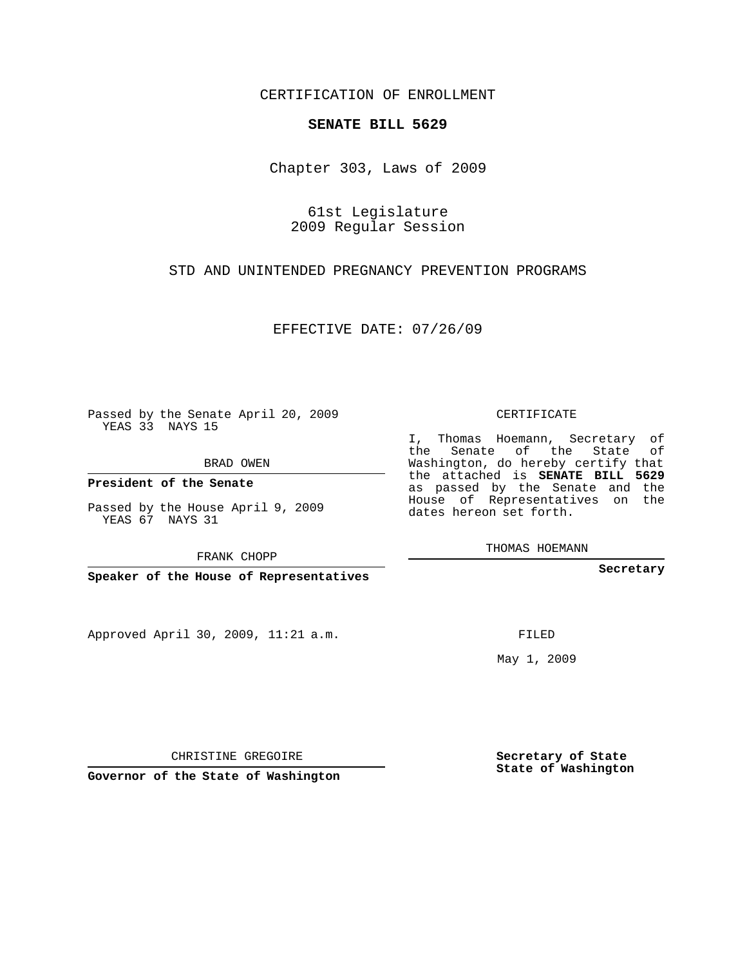CERTIFICATION OF ENROLLMENT

## **SENATE BILL 5629**

Chapter 303, Laws of 2009

61st Legislature 2009 Regular Session

STD AND UNINTENDED PREGNANCY PREVENTION PROGRAMS

EFFECTIVE DATE: 07/26/09

Passed by the Senate April 20, 2009 YEAS 33 NAYS 15

BRAD OWEN

**President of the Senate**

Passed by the House April 9, 2009 YEAS 67 NAYS 31

FRANK CHOPP

**Speaker of the House of Representatives**

Approved April 30, 2009, 11:21 a.m.

CERTIFICATE

I, Thomas Hoemann, Secretary of the Senate of the State of Washington, do hereby certify that the attached is **SENATE BILL 5629** as passed by the Senate and the House of Representatives on the dates hereon set forth.

THOMAS HOEMANN

**Secretary**

FILED

May 1, 2009

**Secretary of State State of Washington**

CHRISTINE GREGOIRE

**Governor of the State of Washington**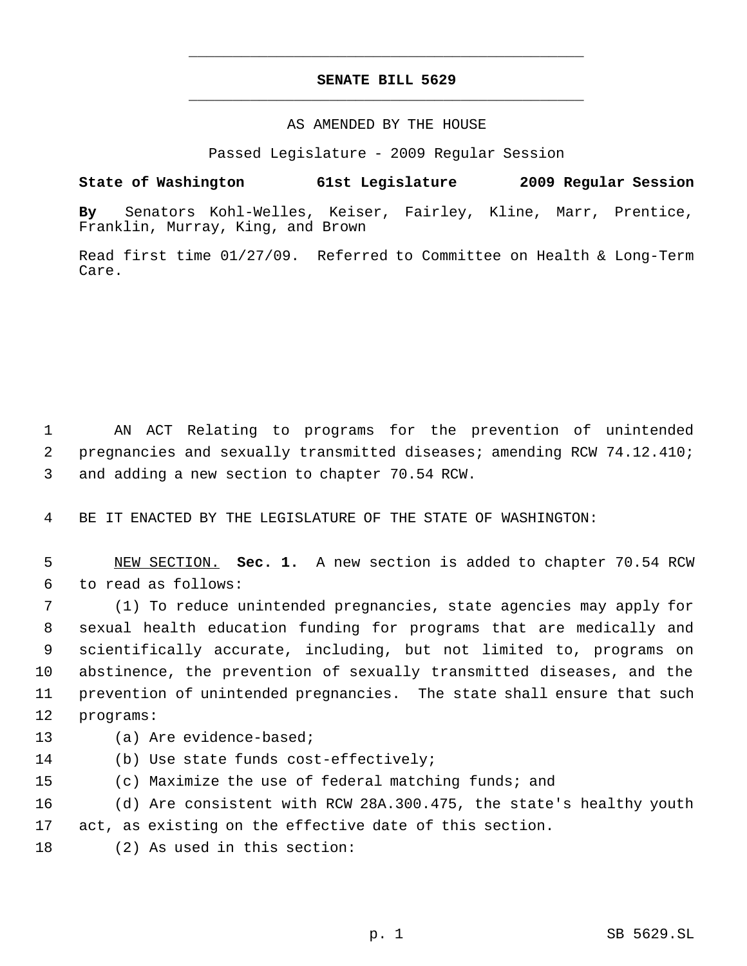## **SENATE BILL 5629** \_\_\_\_\_\_\_\_\_\_\_\_\_\_\_\_\_\_\_\_\_\_\_\_\_\_\_\_\_\_\_\_\_\_\_\_\_\_\_\_\_\_\_\_\_

\_\_\_\_\_\_\_\_\_\_\_\_\_\_\_\_\_\_\_\_\_\_\_\_\_\_\_\_\_\_\_\_\_\_\_\_\_\_\_\_\_\_\_\_\_

## AS AMENDED BY THE HOUSE

Passed Legislature - 2009 Regular Session

## **State of Washington 61st Legislature 2009 Regular Session**

**By** Senators Kohl-Welles, Keiser, Fairley, Kline, Marr, Prentice, Franklin, Murray, King, and Brown

Read first time 01/27/09. Referred to Committee on Health & Long-Term Care.

 AN ACT Relating to programs for the prevention of unintended pregnancies and sexually transmitted diseases; amending RCW 74.12.410; and adding a new section to chapter 70.54 RCW.

BE IT ENACTED BY THE LEGISLATURE OF THE STATE OF WASHINGTON:

 NEW SECTION. **Sec. 1.** A new section is added to chapter 70.54 RCW to read as follows:

 (1) To reduce unintended pregnancies, state agencies may apply for sexual health education funding for programs that are medically and scientifically accurate, including, but not limited to, programs on abstinence, the prevention of sexually transmitted diseases, and the prevention of unintended pregnancies. The state shall ensure that such programs:

- (a) Are evidence-based;
- (b) Use state funds cost-effectively;
- (c) Maximize the use of federal matching funds; and

 (d) Are consistent with RCW 28A.300.475, the state's healthy youth act, as existing on the effective date of this section.

(2) As used in this section: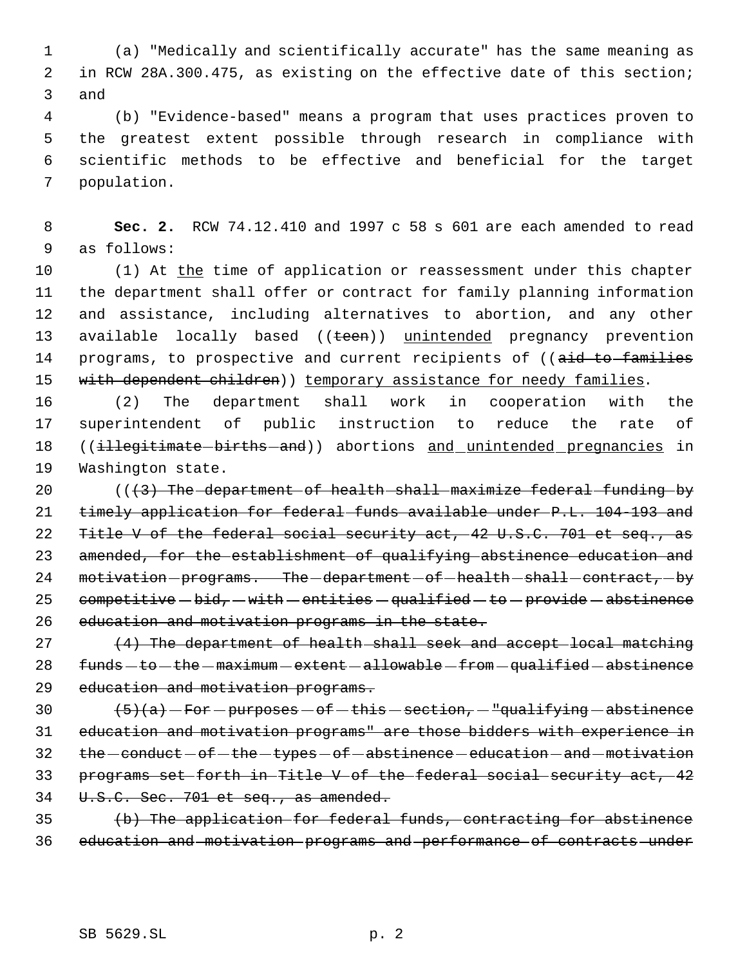(a) "Medically and scientifically accurate" has the same meaning as in RCW 28A.300.475, as existing on the effective date of this section; and

 (b) "Evidence-based" means a program that uses practices proven to the greatest extent possible through research in compliance with scientific methods to be effective and beneficial for the target population.

 **Sec. 2.** RCW 74.12.410 and 1997 c 58 s 601 are each amended to read as follows:

10 (1) At the time of application or reassessment under this chapter the department shall offer or contract for family planning information and assistance, including alternatives to abortion, and any other 13 available locally based ((teen)) unintended pregnancy prevention 14 programs, to prospective and current recipients of ((aid to families 15 with dependent children)) temporary assistance for needy families.

 (2) The department shall work in cooperation with the superintendent of public instruction to reduce the rate of 18 ((illegitimate-births-and)) abortions and unintended pregnancies in Washington state.

20 (((3) The department of health shall maximize federal funding by timely application for federal funds available under P.L. 104-193 and 22 Title V of the federal social security act, 42 U.S.C. 701 et seq., as 23 amended, for the establishment of qualifying abstinence education and 24 motivation-programs. The-department-of-health-shall-contract,-by 25 competitive  $-bid$ ,  $-$  with  $-$  entities  $-$  qualified  $-$  to  $-$  provide  $-$  abstinence education and motivation programs in the state.

27 (4) The department of health shall seek and accept local matching funds  $-$  to  $-$  the  $-$  maximum  $-$  extent  $-$  allowable  $-$  from  $-$  qualified  $-$  abstinence education and motivation programs.

 $\left(5\right)\left(a\right) - \text{For}-\text{purposes}-\text{of}-\text{this}-\text{section}-\text{``qualifying}-\text{abstinence}$  education and motivation programs" are those bidders with experience in 32 the -conduct - of - the - types - of - abstinence - education - and - motivation programs set forth in Title V of the federal social security act, 42 34 U.S.C. Sec. 701 et seq., as amended.

 (b) The application for federal funds, contracting for abstinence education and motivation programs and performance of contracts under